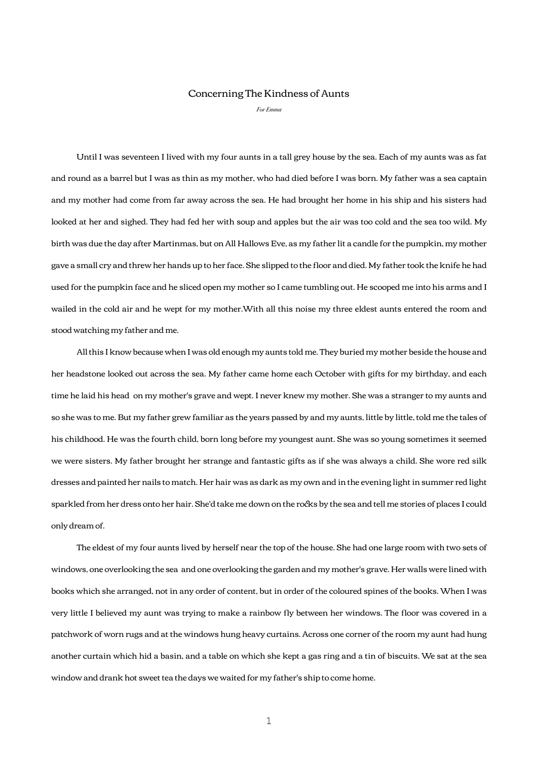## Concerning The Kindness of Aunts

*For Emma*

 Until I was seventeen I lived with my four aunts in a tall grey house by the sea. Each of my aunts was as fat and round as a barrel but I was as thin as my mother, who had died before I was born. My father was a sea captain and my mother had come from far away across the sea. He had brought her home in his ship and his sisters had looked at her and sighed. They had fed her with soup and apples but the air was too cold and the sea too wild. My birth was due the day after Martinmas, but on All Hallows Eve, as my father lit a candle for the pumpkin, my mother gave a small cry and threw her hands up to her face. She slipped to the floor and died. My father took the knife he had used for the pumpkin face and he sliced open my mother so I came tumbling out. He scooped me into his arms and I wailed in the cold air and he wept for my mother.With all this noise my three eldest aunts entered the room and stood watching my father and me.

 All this I know because when I was old enough my aunts told me. They buried my mother beside the house and her headstone looked out across the sea. My father came home each October with gifts for my birthday, and each time he laid his head on my mother's grave and wept. I never knew my mother. She was a stranger to my aunts and so she was to me. But my father grew familiar as the years passed by and my aunts, little by little, told me the tales of his childhood. He was the fourth child, born long before my youngest aunt. She was so young sometimes it seemed we were sisters. My father brought her strange and fantastic gifts as if she was always a child. She wore red silk dresses and painted her nails to match. Her hair was as dark as my own and in the evening light in summer red light sparkled from her dress onto her hair. She'd take me down on the rocks by the sea and tell me stories of places I could only dream of.

 The eldest of my four aunts lived by herself near the top of the house. She had one large room with two sets of windows, one overlooking the sea and one overlooking the garden and my mother's grave. Her walls were lined with books which she arranged, not in any order of content, but in order of the coloured spines of the books. When I was very little I believed my aunt was trying to make a rainbow fly between her windows. The floor was covered in a patchwork of worn rugs and at the windows hung heavy curtains. Across one corner of the room my aunt had hung another curtain which hid a basin, and a table on which she kept a gas ring and a tin of biscuits. We sat at the sea window and drank hot sweet tea the days we waited for my father's ship to come home.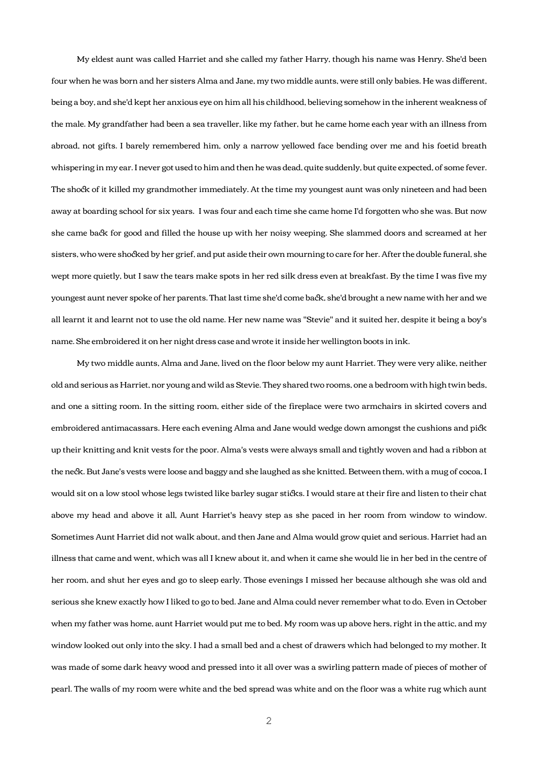My eldest aunt was called Harriet and she called my father Harry, though his name was Henry. She'd been four when he was born and her sisters Alma and Jane, my two middle aunts, were still only babies. He was different, being a boy, and she'd kept her anxious eye on him all his childhood, believing somehow in the inherent weakness of the male. My grandfather had been a sea traveller, like my father, but he came home each year with an illness from abroad, not gifts. I barely remembered him, only a narrow yellowed face bending over me and his foetid breath whispering in my ear. I never got used to him and then he was dead, quite suddenly, but quite expected, of some fever. The shock of it killed my grandmother immediately. At the time my youngest aunt was only nineteen and had been away at boarding school for six years. I was four and each time she came home I'd forgotten who she was. But now she came back for good and filled the house up with her noisy weeping. She slammed doors and screamed at her sisters, who were shocked by her grief, and put aside their own mourning to care for her. After the double funeral, she wept more quietly, but I saw the tears make spots in her red silk dress even at breakfast. By the time I was five my youngest aunt never spoke of her parents. That last time she'd come back, she'd brought a new name with her and we all learnt it and learnt not to use the old name. Her new name was "Stevie" and it suited her, despite it being a boy's name. She embroidered it on her night dress case and wrote it inside her wellington boots in ink.

 My two middle aunts, Alma and Jane, lived on the floor below my aunt Harriet. They were very alike, neither old and serious as Harriet, nor young and wild as Stevie. They shared two rooms, one a bedroom with high twin beds, and one a sitting room. In the sitting room, either side of the fireplace were two armchairs in skirted covers and embroidered antimacassars. Here each evening Alma and Jane would wedge down amongst the cushions and pick up their knitting and knit vests for the poor. Alma's vests were always small and tightly woven and had a ribbon at the neck. But Jane's vests were loose and baggy and she laughed as she knitted. Between them, with a mug of cocoa, I would sit on a low stool whose legs twisted like barley sugar sticks. I would stare at their fire and listen to their chat above my head and above it all, Aunt Harriet's heavy step as she paced in her room from window to window. Sometimes Aunt Harriet did not walk about, and then Jane and Alma would grow quiet and serious. Harriet had an illness that came and went, which was all I knew about it, and when it came she would lie in her bed in the centre of her room, and shut her eyes and go to sleep early. Those evenings I missed her because although she was old and serious she knew exactly how I liked to go to bed. Jane and Alma could never remember what to do. Even in October when my father was home, aunt Harriet would put me to bed. My room was up above hers, right in the attic, and my window looked out only into the sky. I had a small bed and a chest of drawers which had belonged to my mother. It was made of some dark heavy wood and pressed into it all over was a swirling pattern made of pieces of mother of pearl. The walls of my room were white and the bed spread was white and on the floor was a white rug which aunt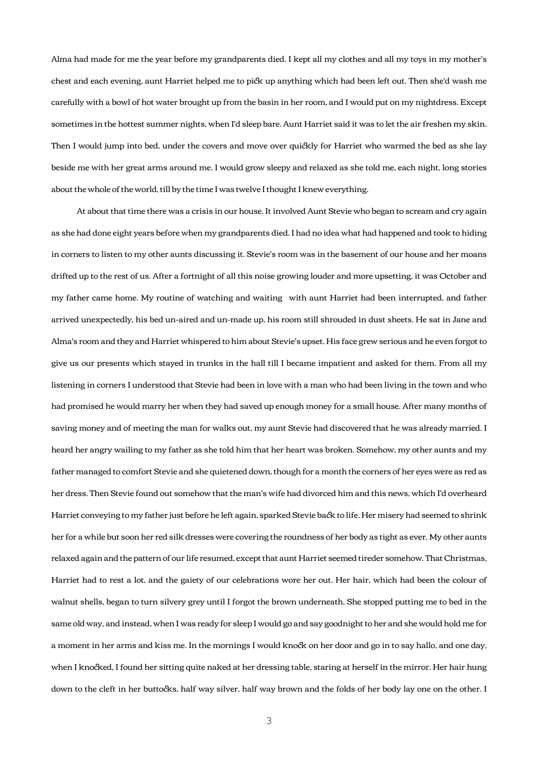Alma had made for me the year before my grandparents died. I kept all my clothes and all my toys in my mother's chest and each evening, aunt Harriet helped me to pick up anything which had been left out. Then she'd wash me careflly with a bowl of hot water brought up from the basin in her room, and I would put on my nightdress. Except sometimes in the hottest summer nights, when I'd sleep bare. Aunt Harriet said it was to let the air freshen my skin. Then I would jump into bed, under the covers and move over quickly for Harriet who warmed the bed as she lay beside me with her great arms around me. I would grow sleepy and relaxed as she told me, each night, long stories about the whole of the world, till by the time I was twelve I thought I knew everything.

 At about that time there was a crisis in our house. It involved Aunt Stevie who began to scream and cry again as she had done eight years before when my grandparents died. I had no idea what had happened and took to hiding in corners to listen to my other aunts discussing it. Stevie's room was in the basement of our house and her moans drifted up to the rest of us. After a fortnight of all this noise growing louder and more upsetting, it was October and my father came home. My routine of watching and waiting with aunt Harriet had been interrupted, and father arrived unexpectedly, his bed un-aired and un-made up, his room still shrouded in dust sheets. He sat in Jane and Alma's room and they and Harriet whispered to him about Stevie's upset. His face grew serious and he even forgot to give us our presents which stayed in trunks in the hall till I became impatient and asked for them. From all my listening in corners I understood that Stevie had been in love with a man who had been living in the town and who had promised he would marry her when they had saved up enough money for a small house. After many months of saving money and of meeting the man for walks out, my aunt Stevie had discovered that he was already married. I heard her angry wailing to my father as she told him that her heart was broken. Somehow, my other aunts and my father managed to comfort Stevie and she quietened down, though for a month the corners of her eyes were as red as her dress. Then Stevie found out somehow that the man's wife had divorced him and this news, which I'd overheard Harriet conveying to my father just before he left again, sparked Stevie back to life. Her misery had seemed to shrink her for a while but soon her red silk dresses were covering the roundness of her body as tight as ever. My other aunts relaxed again and the pattern of our life resumed, except that aunt Harriet seemed tireder somehow. That Christmas, Harriet had to rest a lot, and the gaiety of our celebrations wore her out. Her hair, which had been the colour of walnut shells, began to turn silvery grey until I forgot the brown underneath. She stopped putting me to bed in the same old way, and instead, when I was ready for sleep I would go and say goodnight to her and she would hold me for a moment in her arms and kiss me. In the mornings I would knock on her door and go in to say hallo, and one day, when I knocked, I found her sitting quite naked at her dressing table, staring at herself in the mirror. Her hair hung down to the cleft in her buttocks, half way silver, half way brown and the folds of her body lay one on the other. I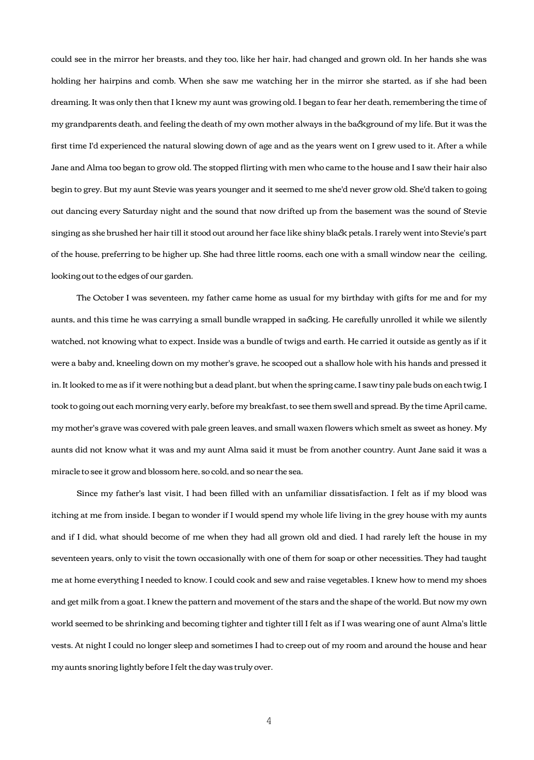could see in the mirror her breasts, and they too, like her hair, had changed and grown old. In her hands she was holding her hairpins and comb. When she saw me watching her in the mirror she started, as if she had been dreaming. It was only then that I knew my aunt was growing old. I began to fear her death, remembering the time of my grandparents death, and feeling the death of my own mother always in the background of my life. But it was the first time I'd experienced the natural slowing down of age and as the years went on I grew used to it. After a while Jane and Alma too began to grow old. The stopped flirting with men who came to the house and I saw their hair also begin to grey. But my aunt Stevie was years younger and it seemed to me she'd never grow old. She'd taken to going out dancing every Saturday night and the sound that now drifted up from the basement was the sound of Stevie singing as she brushed her hair till it stood out around her face like shiny black petals. I rarely went into Stevie's part of the house, preferring to be higher up. She had three little rooms, each one with a small window near the ceiling, looking out to the edges of our garden.

 The October I was seventeen, my father came home as usual for my birthday with gifts for me and for my aunts, and this time he was carrying a small bundle wrapped in sacking. He carefully unrolled it while we silently watched, not knowing what to expect. Inside was a bundle of twigs and earth. He carried it outside as gently as if it were a baby and, kneeling down on my mother's grave, he scooped out a shallow hole with his hands and pressed it in. It looked to me as if it were nothing but a dead plant, but when the spring came, I saw tiny pale buds on each twig. I took to going out each morning very early, before my breakfast, to see them swell and spread. By the time April came, my mother's grave was covered with pale green leaves, and small waxen flowers which smelt as sweet as honey. My aunts did not know what it was and my aunt Alma said it must be from another country. Aunt Jane said it was a miracle to see it grow and blossom here, so cold, and so near the sea.

 Since my father's last visit, I had been filled with an unfamiliar dissatisfaction. I felt as if my blood was itching at me from inside. I began to wonder if I would spend my whole life living in the grey house with my aunts and if I did, what should become of me when they had all grown old and died. I had rarely left the house in my seventeen years, only to visit the town occasionally with one of them for soap or other necessities. They had taught me at home everything I needed to know. I could cook and sew and raise vegetables. I knew how to mend my shoes and get milk from a goat. I knew the pattern and movement of the stars and the shape of the world. But now my own world seemed to be shrinking and becoming tighter and tighter till I felt as if I was wearing one of aunt Alma's little vests. At night I could no longer sleep and sometimes I had to creep out of my room and around the house and hear my aunts snoring lightly before I felt the day was truly over.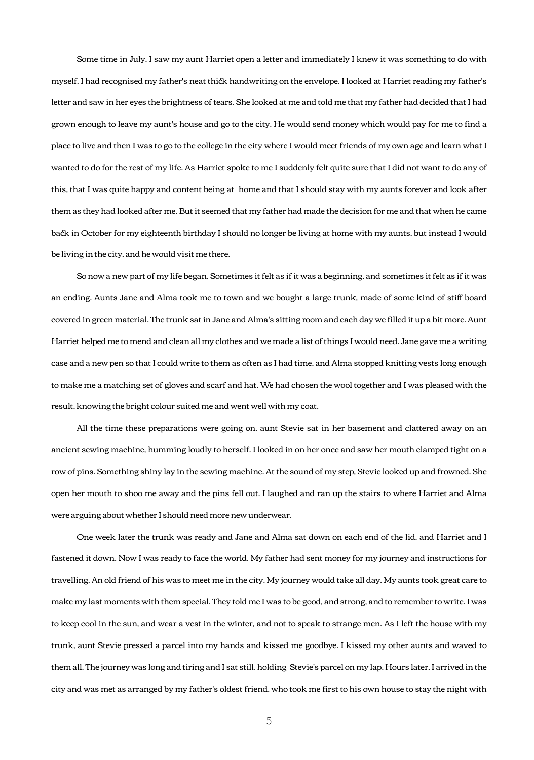Some time in July, I saw my aunt Harriet open a letter and immediately I knew it was something to do with myself. I had recognised my father's neat thick handwriting on the envelope. I looked at Harriet reading my father's letter and saw in her eyes the brightness of tears. She looked at me and told me that my father had decided that I had grown enough to leave my aunt's house and go to the city. He would send money which would pay for me to find a place to live and then I was to go to the college in the city where I would meet friends of my own age and learn what I wanted to do for the rest of my life. As Harriet spoke to me I suddenly felt quite sure that I did not want to do any of this, that I was quite happy and content being at home and that I should stay with my aunts forever and look after them as they had looked after me. But it seemed that my father had made the decision for me and that when he came back in October for my eighteenth birthday I should no longer be living at home with my aunts, but instead I would be living in the city, and he would visit me there.

 So now a new part of my life began. Sometimes it felt as if it was a beginning, and sometimes it felt as if it was an ending. Aunts Jane and Alma took me to town and we bought a large trunk, made of some kind of stiff board covered in green material. The trunk sat in Jane and Alma's sitting room and each day we filled it up a bit more. Aunt Harriet helped me to mend and clean all my clothes and we made a list of things I would need. Jane gave me a writing case and a new pen so that I could write to them as often as I had time, and Alma stopped knitting vests long enough to make me a matching set of gloves and scarf and hat. We had chosen the wool together and I was pleased with the result, knowing the bright colour suited me and went well with my coat.

 All the time these preparations were going on, aunt Stevie sat in her basement and clattered away on an ancient sewing machine, humming loudly to herself. I looked in on her once and saw her mouth clamped tight on a row of pins. Something shiny lay in the sewing machine. At the sound of my step, Stevie looked up and frowned. She open her mouth to shoo me away and the pins fell out. I laughed and ran up the stairs to where Harriet and Alma were arguing about whether I should need more new underwear.

 One week later the trunk was ready and Jane and Alma sat down on each end of the lid, and Harriet and I fastened it down. Now I was ready to face the world. My father had sent money for my journey and instructions for travelling. An old friend of his was to meet me in the city. My journey would take all day. My aunts took great care to make my last moments with them special. They told me I was to be good, and strong, and to remember to write. I was to keep cool in the sun, and wear a vest in the winter, and not to speak to strange men. As I left the house with my trunk, aunt Stevie pressed a parcel into my hands and kissed me goodbye. I kissed my other aunts and waved to them all. The journey was long and tiring and I sat still, holding Stevie's parcel on my lap. Hours later, I arrived in the city and was met as arranged by my father's oldest friend, who took me first to his own house to stay the night with